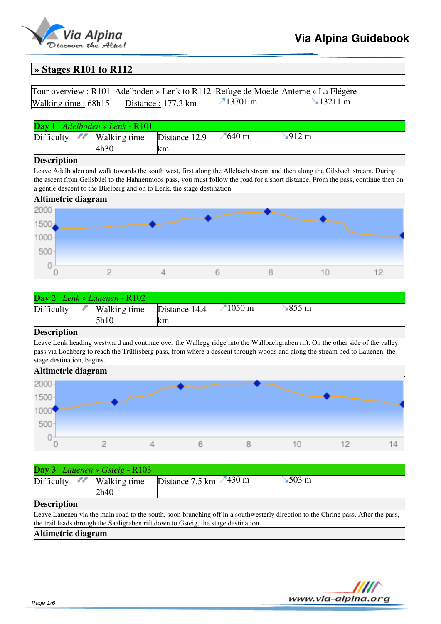

## **» Stages R101 to R112**

|                                        | Tour overview : R101 Adelboden » Lenk to R112 Refuge de Moëde-Anterne » La Flégère |                |
|----------------------------------------|------------------------------------------------------------------------------------|----------------|
| Walking time: 68h15 Distance: 177.3 km | $\n  13701 m\n$                                                                    | $\sim$ 13211 m |

| <b>Day 1</b> Adelboden » Lenk - $R101$ |              |                                                                                                                                  |               |                             |    |
|----------------------------------------|--------------|----------------------------------------------------------------------------------------------------------------------------------|---------------|-----------------------------|----|
| ,,,<br>Difficulty                      | Walking time | Distance 12.9                                                                                                                    | $\n  840 m\n$ | $\blacktriangleright$ 912 m |    |
|                                        | 4h30         | km                                                                                                                               |               |                             |    |
| <b>Description</b>                     |              |                                                                                                                                  |               |                             |    |
|                                        |              | Leave Adelboden and walk towards the south west, first along the Allebach stream and then along the Gilsbach stream. During      |               |                             |    |
|                                        |              | the ascent from Geilsbüel to the Hahnenmoos pass, you must follow the road for a short distance. From the pass, continue then on |               |                             |    |
|                                        |              | a gentle descent to the Büelberg and on to Lenk, the stage destination.                                                          |               |                             |    |
| Altimetric diagram                     |              |                                                                                                                                  |               |                             |    |
| 2000                                   |              |                                                                                                                                  |               |                             |    |
| 1500                                   |              |                                                                                                                                  |               |                             |    |
|                                        |              |                                                                                                                                  |               |                             |    |
| 1000                                   |              |                                                                                                                                  |               |                             |    |
| 500                                    |              |                                                                                                                                  |               |                             |    |
|                                        |              |                                                                                                                                  |               |                             |    |
|                                        |              |                                                                                                                                  |               |                             | 12 |
|                                        |              |                                                                                                                                  |               |                             |    |

| <b>Day 2</b> Lenk » Lauenen - $R102$ |                       |                      |                   |              |  |  |
|--------------------------------------|-----------------------|----------------------|-------------------|--------------|--|--|
| Difficulty                           | Walking time<br>l5h10 | Distance 14.4<br>Ikm | $-1050 \text{ m}$ | $\sim$ 855 m |  |  |
| m.                                   |                       |                      |                   |              |  |  |

### **Description**

Leave Lenk heading westward and continue over the Wallegg ridge into the Wallbachgraben rift. On the other side of the valley, pass via Lochberg to reach the Trütlisberg pass, from where a descent through woods and along the stream bed to Lauenen, the stage destination, begins.



| <b>Day 3</b> Lauenen » Gsteig - $R103$ |                                                                                     |                                        |                                                                                                                                   |  |
|----------------------------------------|-------------------------------------------------------------------------------------|----------------------------------------|-----------------------------------------------------------------------------------------------------------------------------------|--|
| 88.<br>Difficulty                      | Walking time                                                                        | Distance 7.5 km $\sqrt{430 \text{ m}}$ | $\sim$ 503 m                                                                                                                      |  |
|                                        | 2h40                                                                                |                                        |                                                                                                                                   |  |
| <b>Description</b>                     |                                                                                     |                                        |                                                                                                                                   |  |
|                                        |                                                                                     |                                        | Leave Lauenen via the main road to the south, soon branching off in a southwesterly direction to the Chrine pass. After the pass, |  |
|                                        | the trail leads through the Saaligraben rift down to Gsteig, the stage destination. |                                        |                                                                                                                                   |  |
| Altimetric diagram                     |                                                                                     |                                        |                                                                                                                                   |  |
|                                        |                                                                                     |                                        |                                                                                                                                   |  |
|                                        |                                                                                     |                                        |                                                                                                                                   |  |
|                                        |                                                                                     |                                        |                                                                                                                                   |  |
|                                        |                                                                                     |                                        |                                                                                                                                   |  |

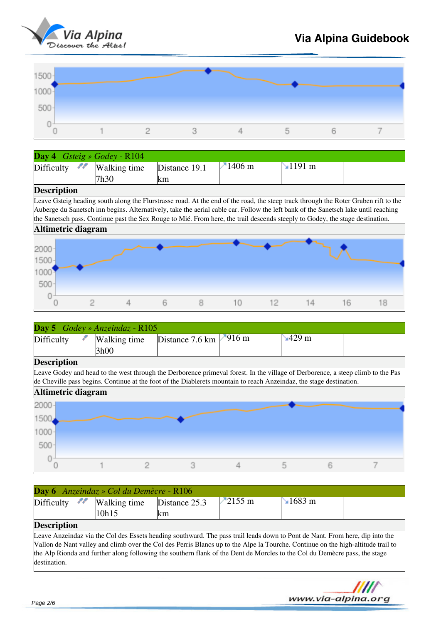



| Day 4                       | $Gsteig \times Godey - R104$ |               |              |                                                                                                                                     |          |
|-----------------------------|------------------------------|---------------|--------------|-------------------------------------------------------------------------------------------------------------------------------------|----------|
| 88<br>Difficulty            | Walking time                 | Distance 19.1 | $\n  1406$ m | $\mathbf{\leq} 1191 \text{ m}$                                                                                                      |          |
|                             | 7h30                         | lkm.          |              |                                                                                                                                     |          |
| <b>Description</b>          |                              |               |              |                                                                                                                                     |          |
|                             |                              |               |              | Leave Gsteig heading south along the Flurstrasse road. At the end of the road, the steep track through the Roter Graben rift to the |          |
|                             |                              |               |              | Auberge du Sanetsch inn begins. Alternatively, take the aerial cable car. Follow the left bank of the Sanetsch lake until reaching  |          |
|                             |                              |               |              | the Sanetsch pass. Continue past the Sex Rouge to Mié. From here, the trail descends steeply to Godey, the stage destination.       |          |
| Altimetric diagram          |                              |               |              |                                                                                                                                     |          |
| 2000<br>1500<br>1000<br>500 |                              |               |              |                                                                                                                                     |          |
|                             |                              |               | 10<br>12     | 14                                                                                                                                  | 16<br>18 |

| <b>Day 5</b> Godey » Anzeindaz - $R105$ |              |                                |  |                            |  |  |
|-----------------------------------------|--------------|--------------------------------|--|----------------------------|--|--|
| Difficulty                              | Walking time | Distance 7.6 km $\sqrt{916}$ m |  | $\frac{1}{2}429 \text{ m}$ |  |  |
| $\overline{}$                           | '3h00        |                                |  |                            |  |  |

## **Description** Leave Godey and head to the west through the Derborence primeval forest. In the village of Derborence, a steep climb to the Pas



| Day 6 Anzeindaz » Col du Demècre - R106 |       |                      |                  |               |  |  |  |
|-----------------------------------------|-------|----------------------|------------------|---------------|--|--|--|
| Difficulty $\mathcal{M}$ Walking time   | 10h15 | Distance 25.3<br>lkm | $2155 \text{ m}$ | $\sim$ 1683 m |  |  |  |
| <b>Description</b>                      |       |                      |                  |               |  |  |  |

Leave Anzeindaz via the Col des Essets heading southward. The pass trail leads down to Pont de Nant. From here, dip into the Vallon de Nant valley and climb over the Col des Perris Blancs up to the Alpe la Tourche. Continue on the high-altitude trail to the Alp Rionda and further along following the southern flank of the Dent de Morcles to the Col du Demècre pass, the stage destination.

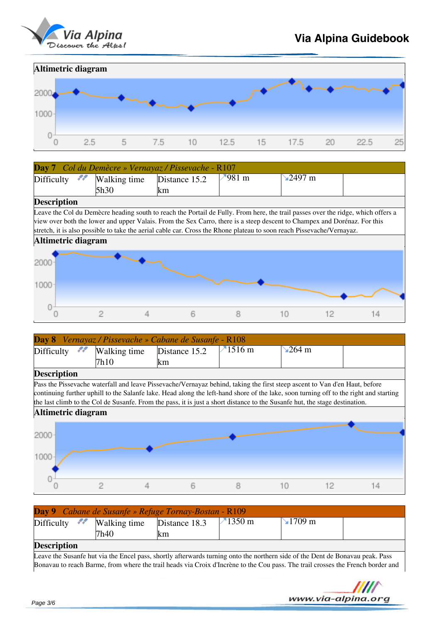



| Day 7 Col du Demècre » Vernayaz / Pissevache - R107 |      |     |                |          |  |  |
|-----------------------------------------------------|------|-----|----------------|----------|--|--|
| Difficulty $\sim$ Walking time Distance 15.2        |      |     | $\sqrt{981}$ m | `⊾2497 m |  |  |
|                                                     | 5h30 | lkm |                |          |  |  |

### **Description**

Leave the Col du Demècre heading south to reach the Portail de Fully. From here, the trail passes over the ridge, which offers a view over both the lower and upper Valais. From the Sex Carro, there is a steep descent to Champex and Dorénaz. For this stretch, it is also possible to take the aerial cable car. Cross the Rhone plateau to soon reach Pissevache/Vernayaz.



| $\textcolor{blue}{\blacktriangleright}$ 264 m |                                                                                                                                                                                                                                                                                                                                                                                                          |
|-----------------------------------------------|----------------------------------------------------------------------------------------------------------------------------------------------------------------------------------------------------------------------------------------------------------------------------------------------------------------------------------------------------------------------------------------------------------|
|                                               |                                                                                                                                                                                                                                                                                                                                                                                                          |
|                                               |                                                                                                                                                                                                                                                                                                                                                                                                          |
|                                               |                                                                                                                                                                                                                                                                                                                                                                                                          |
|                                               |                                                                                                                                                                                                                                                                                                                                                                                                          |
|                                               |                                                                                                                                                                                                                                                                                                                                                                                                          |
|                                               |                                                                                                                                                                                                                                                                                                                                                                                                          |
|                                               |                                                                                                                                                                                                                                                                                                                                                                                                          |
|                                               |                                                                                                                                                                                                                                                                                                                                                                                                          |
|                                               |                                                                                                                                                                                                                                                                                                                                                                                                          |
|                                               |                                                                                                                                                                                                                                                                                                                                                                                                          |
|                                               |                                                                                                                                                                                                                                                                                                                                                                                                          |
|                                               |                                                                                                                                                                                                                                                                                                                                                                                                          |
|                                               |                                                                                                                                                                                                                                                                                                                                                                                                          |
|                                               |                                                                                                                                                                                                                                                                                                                                                                                                          |
| 10                                            |                                                                                                                                                                                                                                                                                                                                                                                                          |
|                                               | Pass the Pissevache waterfall and leave Pissevache/Vernayaz behind, taking the first steep ascent to Van d'en Haut, before<br>continuing further uphill to the Salanfe lake. Head along the left-hand shore of the lake, soon turning off to the right and starting<br>the last climb to the Col de Susanfe. From the pass, it is just a short distance to the Susanfe hut, the stage destination.<br>12 |

| Day 9 Cabane de Susanfe » Refuge Tornay-Bostan - R109 |                                                        |           |                  |                       |  |  |  |
|-------------------------------------------------------|--------------------------------------------------------|-----------|------------------|-----------------------|--|--|--|
|                                                       | $Difficulty$ $\blacksquare$ Walking time Distance 18.3 |           | $1350 \text{ m}$ | $\sim 1709 \text{ m}$ |  |  |  |
|                                                       | 7h40                                                   | <b>KM</b> |                  |                       |  |  |  |
| <b>Description</b>                                    |                                                        |           |                  |                       |  |  |  |

## **Description**

Leave the Susanfe hut via the Encel pass, shortly afterwards turning onto the northern side of the Dent de Bonavau peak. Pass Bonavau to reach Barme, from where the trail heads via Croix d'Incrène to the Cou pass. The trail crosses the French border and

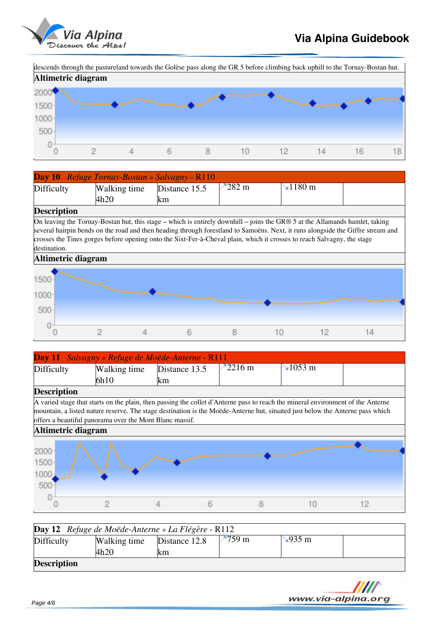

descends through the pastureland towards the Golèse pass along the GR 5 before climbing back uphill to the Tornay-Bostan hut.



| <b>Day 10</b> Refuge Tornay-Bostan » Salvagny - R110 |              |               |          |               |  |  |
|------------------------------------------------------|--------------|---------------|----------|---------------|--|--|
| Difficulty                                           | Walking time | Distance 15.5 | $-282$ m | $\sim$ 1180 m |  |  |
|                                                      | 4h20         | lkm           |          |               |  |  |
| $\overline{}$                                        |              |               |          |               |  |  |

## **Description**

On leaving the Tornay-Bostan hut, this stage – which is entirely downhill – joins the GR® 5 at the Allamands hamlet, taking several hairpin bends on the road and then heading through forestland to Samoëns. Next, it runs alongside the Giffre stream and crosses the Tines gorges before opening onto the Sixt-Fer-à-Cheval plain, which it crosses to reach Salvagny, the stage destination.



| Day 11 Salvagny » Refuge de Moëde-Anterne - R111 |                                                                                                                                                                                                                                                                                                                             |               |                   |  |                              |  |  |  |
|--------------------------------------------------|-----------------------------------------------------------------------------------------------------------------------------------------------------------------------------------------------------------------------------------------------------------------------------------------------------------------------------|---------------|-------------------|--|------------------------------|--|--|--|
| Difficulty                                       | Walking time                                                                                                                                                                                                                                                                                                                | Distance 13.5 | $-2216 \text{ m}$ |  | $\blacktriangleright$ 1053 m |  |  |  |
|                                                  | 6h10                                                                                                                                                                                                                                                                                                                        | km            |                   |  |                              |  |  |  |
| <b>Description</b>                               |                                                                                                                                                                                                                                                                                                                             |               |                   |  |                              |  |  |  |
|                                                  | A varied stage that starts on the plain, then passing the collet d'Anterne pass to reach the mineral environment of the Anterne<br>mountain, a listed nature reserve. The stage destination is the Moëde-Anterne hut, situated just below the Anterne pass which<br>offers a beautiful panorama over the Mont Blanc massif. |               |                   |  |                              |  |  |  |
| Altimetric diagram                               |                                                                                                                                                                                                                                                                                                                             |               |                   |  |                              |  |  |  |
| 2000<br>1500<br>1000<br>500                      |                                                                                                                                                                                                                                                                                                                             |               |                   |  |                              |  |  |  |
|                                                  |                                                                                                                                                                                                                                                                                                                             |               |                   |  | 10                           |  |  |  |

| <b>Day 12</b> Refuge de Moëde-Anterne » La Flégère - R112 |              |               |                  |              |  |  |  |
|-----------------------------------------------------------|--------------|---------------|------------------|--------------|--|--|--|
| Difficulty                                                | Walking time | Distance 12.8 | $-759 \text{ m}$ | $\sim$ 935 m |  |  |  |
|                                                           | 14h20        | Ikm           |                  |              |  |  |  |
| <b>Description</b>                                        |              |               |                  |              |  |  |  |

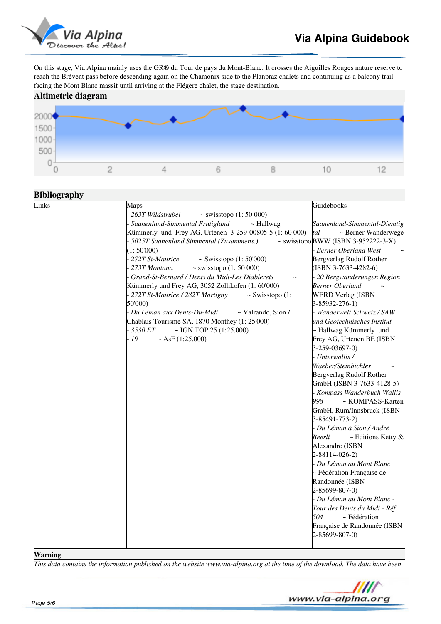

# **Via Alpina Guidebook**

On this stage, Via Alpina mainly uses the GR® du Tour de pays du Mont-Blanc. It crosses the Aiguilles Rouges nature reserve to reach the Brévent pass before descending again on the Chamonix side to the Planpraz chalets and continuing as a balcony trail facing the Mont Blanc massif until arriving at the Flégère chalet, the stage destination.



| <b>Bibliography</b>                          |                                                         |                                          |  |  |  |
|----------------------------------------------|---------------------------------------------------------|------------------------------------------|--|--|--|
| Links                                        | Maps                                                    | Guidebooks                               |  |  |  |
|                                              | $\sim$ swisstopo (1: 50 000)<br>263T Wildstrubel        |                                          |  |  |  |
|                                              | Saanenland-Simmental Frutigland<br>$\sim$ Hallwag       | Saanenland-Simmental-Diemtig             |  |  |  |
|                                              | Kümmerly und Frey AG, Urtenen 3-259-00805-5 (1:60 000)  | tal<br>~ Berner Wanderwege               |  |  |  |
|                                              | 5025T Saanenland Simmental (Zusammens.)                 | $\sim$ swisstopo BWW (ISBN 3-952222-3-X) |  |  |  |
|                                              | (1:50'000)                                              | <b>Berner Oberland West</b>              |  |  |  |
|                                              | 272T St-Maurice<br>~ Swisstopo $(1:50'000)$             | Bergverlag Rudolf Rother                 |  |  |  |
|                                              | 273T Montana<br>$\sim$ swisstopo (1: 50 000)            | $(ISBN 3-7633-4282-6)$                   |  |  |  |
|                                              | Grand-St-Bernard / Dents du Midi-Les Diablerets         | 20 Bergwanderungen Region                |  |  |  |
|                                              | Kümmerly und Frey AG, 3052 Zollikofen (1: 60'000)       | <b>Berner Oberland</b>                   |  |  |  |
|                                              | 272T St-Maurice / 282T Martigny<br>$\sim$ Swisstopo (1: | <b>WERD Verlag (ISBN</b>                 |  |  |  |
|                                              | 50'000)                                                 | 3-85932-276-1)                           |  |  |  |
|                                              | Du Léman aux Dents-Du-Midi<br>$\sim$ Valrando, Sion /   | Wanderwelt Schweiz / SAW                 |  |  |  |
|                                              | Chablais Tourisme SA, 1870 Monthey (1: 25'000)          | und Geotechnisches Institut              |  |  |  |
|                                              | 3530 ET<br>~ IGN TOP 25 $(1:25.000)$                    | ~ Hallwag Kümmerly und                   |  |  |  |
|                                              | 19<br>$~\sim$ AsF (1:25.000)                            | Frey AG, Urtenen BE (ISBN                |  |  |  |
|                                              |                                                         | $3-259-03697-0$                          |  |  |  |
|                                              |                                                         | Unterwallis /                            |  |  |  |
|                                              |                                                         | Waeber/Steinbichler                      |  |  |  |
|                                              |                                                         | Bergverlag Rudolf Rother                 |  |  |  |
|                                              |                                                         | GmbH (ISBN 3-7633-4128-5)                |  |  |  |
|                                              |                                                         | Kompass Wanderbuch Wallis                |  |  |  |
|                                              |                                                         | 998<br>~ KOMPASS-Karten                  |  |  |  |
|                                              |                                                         | GmbH, Rum/Innsbruck (ISBN                |  |  |  |
|                                              |                                                         | 3-85491-773-2)                           |  |  |  |
|                                              |                                                         | - Du Léman à Sion / André                |  |  |  |
|                                              |                                                         | Beerli<br>$\sim$ Editions Ketty &        |  |  |  |
|                                              |                                                         | Alexandre (ISBN                          |  |  |  |
|                                              |                                                         | $2 - 88114 - 026 - 2$                    |  |  |  |
|                                              |                                                         | Du Léman au Mont Blanc                   |  |  |  |
|                                              |                                                         | ~ Fédération Française de                |  |  |  |
|                                              |                                                         | Randonnée (ISBN                          |  |  |  |
|                                              |                                                         | 2-85699-807-0)                           |  |  |  |
|                                              |                                                         | - Du Léman au Mont Blanc -               |  |  |  |
|                                              |                                                         | Tour des Dents du Midi - Réf.            |  |  |  |
|                                              |                                                         | 504<br>~ Fédération                      |  |  |  |
|                                              |                                                         | Française de Randonnée (ISBN             |  |  |  |
|                                              |                                                         | 2-85699-807-0)                           |  |  |  |
|                                              |                                                         |                                          |  |  |  |
| $\overline{\mathbf{x}}\overline{\mathbf{x}}$ |                                                         |                                          |  |  |  |

#### **Warning**

*This data contains the information published on the website www.via-alpina.org at the time of the download. The data have been*